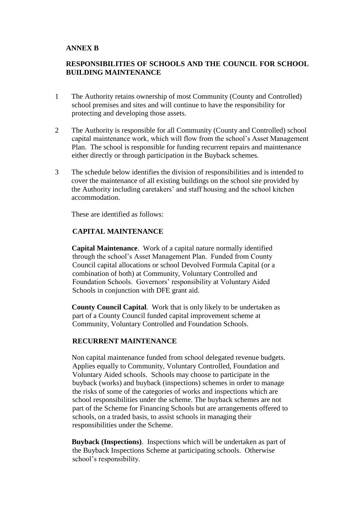### **ANNEX B**

# **RESPONSIBILITIES OF SCHOOLS AND THE COUNCIL FOR SCHOOL BUILDING MAINTENANCE**

- 1 The Authority retains ownership of most Community (County and Controlled) school premises and sites and will continue to have the responsibility for protecting and developing those assets.
- 2 The Authority is responsible for all Community (County and Controlled) school capital maintenance work, which will flow from the school's Asset Management Plan. The school is responsible for funding recurrent repairs and maintenance either directly or through participation in the Buyback schemes.
- 3 The schedule below identifies the division of responsibilities and is intended to cover the maintenance of all existing buildings on the school site provided by the Authority including caretakers' and staff housing and the school kitchen accommodation.

These are identified as follows:

### **CAPITAL MAINTENANCE**

**Capital Maintenance**. Work of a capital nature normally identified through the school's Asset Management Plan. Funded from County Council capital allocations or school Devolved Formula Capital (or a combination of both) at Community, Voluntary Controlled and Foundation Schools. Governors' responsibility at Voluntary Aided Schools in conjunction with DFE grant aid.

**County Council Capital**. Work that is only likely to be undertaken as part of a County Council funded capital improvement scheme at Community, Voluntary Controlled and Foundation Schools.

## **RECURRENT MAINTENANCE**

Non capital maintenance funded from school delegated revenue budgets. Applies equally to Community, Voluntary Controlled, Foundation and Voluntary Aided schools. Schools may choose to participate in the buyback (works) and buyback (inspections) schemes in order to manage the risks of some of the categories of works and inspections which are school responsibilities under the scheme. The buyback schemes are not part of the Scheme for Financing Schools but are arrangements offered to schools, on a traded basis, to assist schools in managing their responsibilities under the Scheme.

**Buyback (Inspections)**. Inspections which will be undertaken as part of the Buyback Inspections Scheme at participating schools. Otherwise school's responsibility.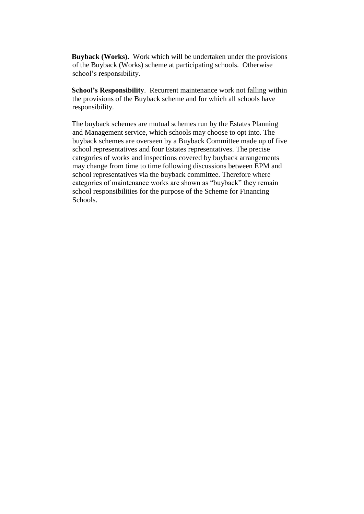**Buyback (Works).** Work which will be undertaken under the provisions of the Buyback (Works) scheme at participating schools. Otherwise school's responsibility.

**School's Responsibility**. Recurrent maintenance work not falling within the provisions of the Buyback scheme and for which all schools have responsibility.

The buyback schemes are mutual schemes run by the Estates Planning and Management service, which schools may choose to opt into. The buyback schemes are overseen by a Buyback Committee made up of five school representatives and four Estates representatives. The precise categories of works and inspections covered by buyback arrangements may change from time to time following discussions between EPM and school representatives via the buyback committee. Therefore where categories of maintenance works are shown as "buyback" they remain school responsibilities for the purpose of the Scheme for Financing Schools.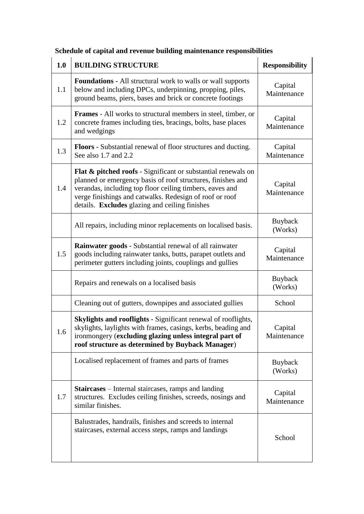| 1.0     | <b>BUILDING STRUCTURE</b>                                                                                                                                                                                                                                                                                        | <b>Responsibility</b>     |
|---------|------------------------------------------------------------------------------------------------------------------------------------------------------------------------------------------------------------------------------------------------------------------------------------------------------------------|---------------------------|
| 1.1     | <b>Foundations</b> - All structural work to walls or wall supports<br>below and including DPCs, underpinning, propping, piles,<br>ground beams, piers, bases and brick or concrete footings                                                                                                                      | Capital<br>Maintenance    |
| 1.2     | <b>Frames</b> - All works to structural members in steel, timber, or<br>concrete frames including ties, bracings, bolts, base places<br>and wedgings                                                                                                                                                             | Capital<br>Maintenance    |
| 1.3     | <b>Floors</b> - Substantial renewal of floor structures and ducting.<br>See also 1.7 and 2.2                                                                                                                                                                                                                     | Capital<br>Maintenance    |
| 1.4     | <b>Flat &amp; pitched roofs</b> - Significant or substantial renewals on<br>planned or emergency basis of roof structures, finishes and<br>verandas, including top floor ceiling timbers, eaves and<br>verge finishings and catwalks. Redesign of roof or roof<br>details. Excludes glazing and ceiling finishes | Capital<br>Maintenance    |
|         | All repairs, including minor replacements on localised basis.                                                                                                                                                                                                                                                    | Buyback<br>(Works)        |
| 1.5     | <b>Rainwater goods - Substantial renewal of all rainwater</b><br>goods including rainwater tanks, butts, parapet outlets and<br>perimeter gutters including joints, couplings and gullies                                                                                                                        | Capital<br>Maintenance    |
|         | Repairs and renewals on a localised basis                                                                                                                                                                                                                                                                        | Buyback<br>(Works)        |
|         | Cleaning out of gutters, downpipes and associated gullies                                                                                                                                                                                                                                                        | School                    |
| $1.6\,$ | Skylights and rooflights - Significant renewal of rooflights,<br>skylights, laylights with frames, casings, kerbs, beading and<br>ironmongery (excluding glazing unless integral part of<br>roof structure as determined by Buyback Manager)                                                                     | Capital<br>Maintenance    |
|         | Localised replacement of frames and parts of frames                                                                                                                                                                                                                                                              | <b>Buyback</b><br>(Works) |
| 1.7     | <b>Staircases</b> – Internal staircases, ramps and landing<br>structures. Excludes ceiling finishes, screeds, nosings and<br>similar finishes.                                                                                                                                                                   | Capital<br>Maintenance    |
|         | Balustrades, handrails, finishes and screeds to internal<br>staircases, external access steps, ramps and landings                                                                                                                                                                                                | School                    |

# **Schedule of capital and revenue building maintenance responsibilities**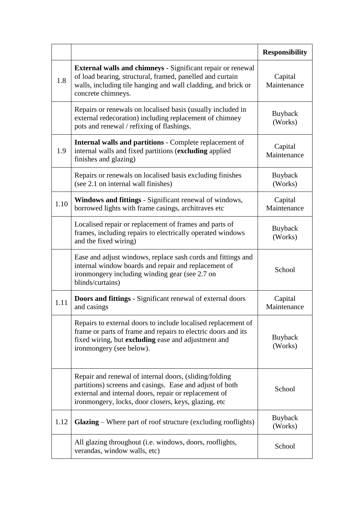|      |                                                                                                                                                                                                                                     | <b>Responsibility</b>     |
|------|-------------------------------------------------------------------------------------------------------------------------------------------------------------------------------------------------------------------------------------|---------------------------|
| 1.8  | <b>External walls and chimneys</b> - Significant repair or renewal<br>of load bearing, structural, framed, panelled and curtain<br>walls, including tile hanging and wall cladding, and brick or<br>concrete chimneys.              | Capital<br>Maintenance    |
|      | Repairs or renewals on localised basis (usually included in<br>external redecoration) including replacement of chimney<br>pots and renewal / refixing of flashings.                                                                 | Buyback<br>(Works)        |
| 1.9  | <b>Internal walls and partitions - Complete replacement of</b><br>internal walls and fixed partitions (excluding applied<br>finishes and glazing)                                                                                   | Capital<br>Maintenance    |
|      | Repairs or renewals on localised basis excluding finishes<br>(see 2.1 on internal wall finishes)                                                                                                                                    | Buyback<br>(Works)        |
| 1.10 | Windows and fittings - Significant renewal of windows,<br>borrowed lights with frame casings, architraves etc                                                                                                                       | Capital<br>Maintenance    |
|      | Localised repair or replacement of frames and parts of<br>frames, including repairs to electrically operated windows<br>and the fixed wiring)                                                                                       | Buyback<br>(Works)        |
|      | Ease and adjust windows, replace sash cords and fittings and<br>internal window boards and repair and replacement of<br>ironmongery including winding gear (see 2.7 on<br>blinds/curtains)                                          | School                    |
| 1.11 | <b>Doors and fittings</b> - Significant renewal of external doors<br>and casings                                                                                                                                                    | Capital<br>Maintenance    |
|      | Repairs to external doors to include localised replacement of<br>frame or parts of frame and repairs to electric doors and its<br>fixed wiring, but excluding ease and adjustment and<br>ironmongery (see below).                   | <b>Buyback</b><br>(Works) |
|      | Repair and renewal of internal doors, (sliding/folding<br>partitions) screens and casings. Ease and adjust of both<br>external and internal doors, repair or replacement of<br>ironmongery, locks, door closers, keys, glazing, etc | School                    |
| 1.12 | <b>Glazing</b> – Where part of roof structure (excluding rooflights)                                                                                                                                                                | <b>Buyback</b><br>(Works) |
|      | All glazing throughout (i.e. windows, doors, rooflights,<br>verandas, window walls, etc)                                                                                                                                            | School                    |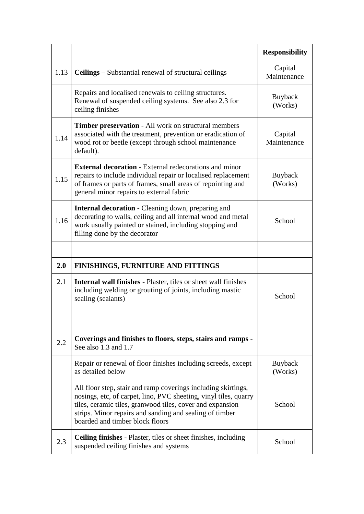|      |                                                                                                                                                                                                                                                                                              | <b>Responsibility</b>  |
|------|----------------------------------------------------------------------------------------------------------------------------------------------------------------------------------------------------------------------------------------------------------------------------------------------|------------------------|
| 1.13 | <b>Ceilings</b> – Substantial renewal of structural ceilings                                                                                                                                                                                                                                 | Capital<br>Maintenance |
|      | Repairs and localised renewals to ceiling structures.<br>Renewal of suspended ceiling systems. See also 2.3 for<br>ceiling finishes                                                                                                                                                          | Buyback<br>(Works)     |
| 1.14 | <b>Timber preservation</b> - All work on structural members<br>associated with the treatment, prevention or eradication of<br>wood rot or beetle (except through school maintenance<br>default).                                                                                             | Capital<br>Maintenance |
| 1.15 | <b>External decoration</b> - External redecorations and minor<br>repairs to include individual repair or localised replacement<br>of frames or parts of frames, small areas of repointing and<br>general minor repairs to external fabric                                                    | Buyback<br>(Works)     |
| 1.16 | <b>Internal decoration</b> - Cleaning down, preparing and<br>decorating to walls, ceiling and all internal wood and metal<br>work usually painted or stained, including stopping and<br>filling done by the decorator                                                                        | School                 |
|      |                                                                                                                                                                                                                                                                                              |                        |
| 2.0  | <b>FINISHINGS, FURNITURE AND FITTINGS</b>                                                                                                                                                                                                                                                    |                        |
| 2.1  | <b>Internal wall finishes</b> - Plaster, tiles or sheet wall finishes<br>including welding or grouting of joints, including mastic<br>sealing (sealants)                                                                                                                                     | School                 |
| 2.2  | Coverings and finishes to floors, steps, stairs and ramps -<br>See also $1.3$ and $1.7$                                                                                                                                                                                                      |                        |
|      | Repair or renewal of floor finishes including screeds, except<br>as detailed below                                                                                                                                                                                                           | Buyback<br>(Works)     |
|      | All floor step, stair and ramp coverings including skirtings,<br>nosings, etc, of carpet, lino, PVC sheeting, vinyl tiles, quarry<br>tiles, ceramic tiles, granwood tiles, cover and expansion<br>strips. Minor repairs and sanding and sealing of timber<br>boarded and timber block floors | School                 |
| 2.3  | <b>Ceiling finishes</b> - Plaster, tiles or sheet finishes, including<br>suspended ceiling finishes and systems                                                                                                                                                                              | School                 |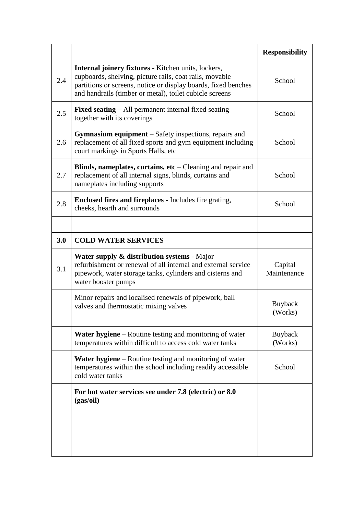|     |                                                                                                                                                                                                                                                    | <b>Responsibility</b>  |
|-----|----------------------------------------------------------------------------------------------------------------------------------------------------------------------------------------------------------------------------------------------------|------------------------|
| 2.4 | <b>Internal joinery fixtures</b> - Kitchen units, lockers,<br>cupboards, shelving, picture rails, coat rails, movable<br>partitions or screens, notice or display boards, fixed benches<br>and handrails (timber or metal), toilet cubicle screens | School                 |
| 2.5 | <b>Fixed seating</b> – All permanent internal fixed seating<br>together with its coverings                                                                                                                                                         | School                 |
| 2.6 | Gymnasium equipment - Safety inspections, repairs and<br>replacement of all fixed sports and gym equipment including<br>court markings in Sports Halls, etc                                                                                        | School                 |
| 2.7 | Blinds, nameplates, curtains, $etc$ – Cleaning and repair and<br>replacement of all internal signs, blinds, curtains and<br>nameplates including supports                                                                                          | School                 |
| 2.8 | <b>Enclosed fires and fireplaces - Includes fire grating,</b><br>cheeks, hearth and surrounds                                                                                                                                                      | School                 |
|     |                                                                                                                                                                                                                                                    |                        |
| 3.0 | <b>COLD WATER SERVICES</b>                                                                                                                                                                                                                         |                        |
| 3.1 | <b>Water supply &amp; distribution systems - Major</b><br>refurbishment or renewal of all internal and external service<br>pipework, water storage tanks, cylinders and cisterns and<br>water booster pumps                                        | Capital<br>Maintenance |
|     | Minor repairs and localised renewals of pipework, ball<br>valves and thermostatic mixing valves                                                                                                                                                    | Buyback<br>(Works)     |
|     | <b>Water hygiene</b> – Routine testing and monitoring of water<br>temperatures within difficult to access cold water tanks                                                                                                                         | Buyback<br>(Works)     |
|     | Water hygiene – Routine testing and monitoring of water<br>temperatures within the school including readily accessible<br>cold water tanks                                                                                                         | School                 |
|     | For hot water services see under 7.8 (electric) or 8.0<br>(gas/oil)                                                                                                                                                                                |                        |
|     |                                                                                                                                                                                                                                                    |                        |
|     |                                                                                                                                                                                                                                                    |                        |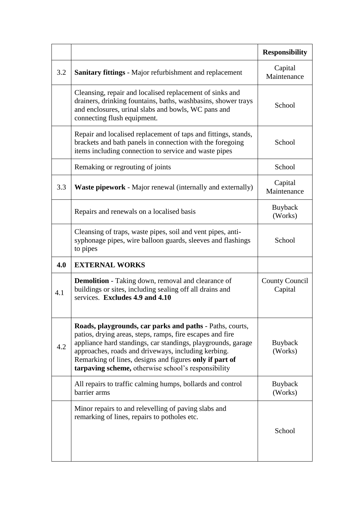|     |                                                                                                                                                                                                                                                                                                                                                                | <b>Responsibility</b>            |
|-----|----------------------------------------------------------------------------------------------------------------------------------------------------------------------------------------------------------------------------------------------------------------------------------------------------------------------------------------------------------------|----------------------------------|
| 3.2 | <b>Sanitary fittings</b> - Major refurbishment and replacement                                                                                                                                                                                                                                                                                                 | Capital<br>Maintenance           |
|     | Cleansing, repair and localised replacement of sinks and<br>drainers, drinking fountains, baths, washbasins, shower trays<br>and enclosures, urinal slabs and bowls, WC pans and<br>connecting flush equipment.                                                                                                                                                | School                           |
|     | Repair and localised replacement of taps and fittings, stands,<br>brackets and bath panels in connection with the foregoing<br>items including connection to service and waste pipes                                                                                                                                                                           | School                           |
|     | Remaking or regrouting of joints                                                                                                                                                                                                                                                                                                                               | School                           |
| 3.3 | <b>Waste pipework</b> - Major renewal (internally and externally)                                                                                                                                                                                                                                                                                              | Capital<br>Maintenance           |
|     | Repairs and renewals on a localised basis                                                                                                                                                                                                                                                                                                                      | Buyback<br>(Works)               |
|     | Cleansing of traps, waste pipes, soil and vent pipes, anti-<br>syphonage pipes, wire balloon guards, sleeves and flashings<br>to pipes                                                                                                                                                                                                                         | School                           |
| 4.0 | <b>EXTERNAL WORKS</b>                                                                                                                                                                                                                                                                                                                                          |                                  |
| 4.1 | <b>Demolition</b> - Taking down, removal and clearance of<br>buildings or sites, including sealing off all drains and<br>services. Excludes 4.9 and 4.10                                                                                                                                                                                                       | <b>County Council</b><br>Capital |
| 4.2 | Roads, playgrounds, car parks and paths - Paths, courts,<br>patios, drying areas, steps, ramps, fire escapes and fire<br>appliance hard standings, car standings, playgrounds, garage<br>approaches, roads and driveways, including kerbing.<br>Remarking of lines, designs and figures only if part of<br>tarpaving scheme, otherwise school's responsibility | Buyback<br>(Works)               |
|     | All repairs to traffic calming humps, bollards and control<br>barrier arms                                                                                                                                                                                                                                                                                     | Buyback<br>(Works)               |
|     | Minor repairs to and relevelling of paving slabs and<br>remarking of lines, repairs to potholes etc.                                                                                                                                                                                                                                                           | School                           |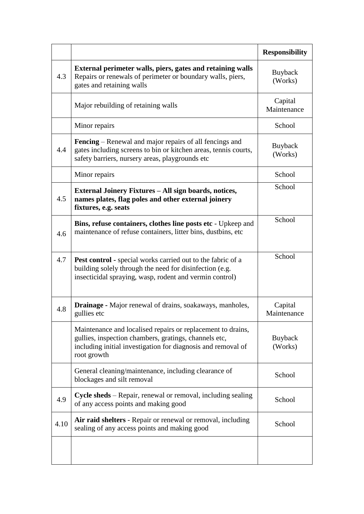|      |                                                                                                                                                                                                     | <b>Responsibility</b>  |
|------|-----------------------------------------------------------------------------------------------------------------------------------------------------------------------------------------------------|------------------------|
| 4.3  | External perimeter walls, piers, gates and retaining walls<br>Repairs or renewals of perimeter or boundary walls, piers,<br>gates and retaining walls                                               | Buyback<br>(Works)     |
|      | Major rebuilding of retaining walls                                                                                                                                                                 | Capital<br>Maintenance |
|      | Minor repairs                                                                                                                                                                                       | School                 |
| 4.4  | <b>Fencing</b> – Renewal and major repairs of all fencings and<br>gates including screens to bin or kitchen areas, tennis courts,<br>safety barriers, nursery areas, playgrounds etc                | Buyback<br>(Works)     |
|      | Minor repairs                                                                                                                                                                                       | School                 |
| 4.5  | External Joinery Fixtures - All sign boards, notices,<br>names plates, flag poles and other external joinery<br>fixtures, e.g. seats                                                                | School                 |
| 4.6  | Bins, refuse containers, clothes line posts etc - Upkeep and<br>maintenance of refuse containers, litter bins, dustbins, etc.                                                                       | School                 |
| 4.7  | <b>Pest control</b> - special works carried out to the fabric of a<br>building solely through the need for disinfection (e.g.<br>insecticidal spraying, wasp, rodent and vermin control)            | School                 |
| 4.8  | Drainage - Major renewal of drains, soakaways, manholes,<br>gullies etc                                                                                                                             | Capital<br>Maintenance |
|      | Maintenance and localised repairs or replacement to drains,<br>gullies, inspection chambers, gratings, channels etc,<br>including initial investigation for diagnosis and removal of<br>root growth | Buyback<br>(Works)     |
|      | General cleaning/maintenance, including clearance of<br>blockages and silt removal                                                                                                                  | School                 |
| 4.9  | <b>Cycle sheds</b> – Repair, renewal or removal, including sealing<br>of any access points and making good                                                                                          | School                 |
| 4.10 | Air raid shelters - Repair or renewal or removal, including<br>sealing of any access points and making good                                                                                         | School                 |
|      |                                                                                                                                                                                                     |                        |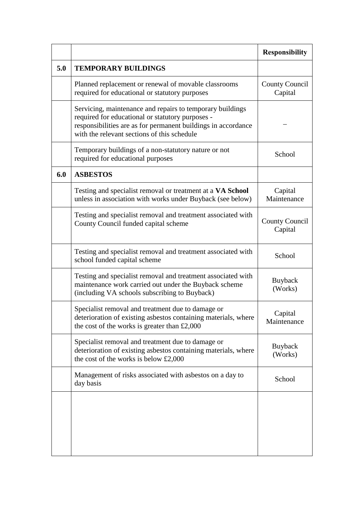|     |                                                                                                                                                                                                                               | <b>Responsibility</b>            |
|-----|-------------------------------------------------------------------------------------------------------------------------------------------------------------------------------------------------------------------------------|----------------------------------|
| 5.0 | <b>TEMPORARY BUILDINGS</b>                                                                                                                                                                                                    |                                  |
|     | Planned replacement or renewal of movable classrooms<br>required for educational or statutory purposes                                                                                                                        | <b>County Council</b><br>Capital |
|     | Servicing, maintenance and repairs to temporary buildings<br>required for educational or statutory purposes -<br>responsibilities are as for permanent buildings in accordance<br>with the relevant sections of this schedule |                                  |
|     | Temporary buildings of a non-statutory nature or not<br>required for educational purposes                                                                                                                                     | School                           |
| 6.0 | <b>ASBESTOS</b>                                                                                                                                                                                                               |                                  |
|     | Testing and specialist removal or treatment at a VA School<br>unless in association with works under Buyback (see below)                                                                                                      | Capital<br>Maintenance           |
|     | Testing and specialist removal and treatment associated with<br>County Council funded capital scheme                                                                                                                          | <b>County Council</b><br>Capital |
|     | Testing and specialist removal and treatment associated with<br>school funded capital scheme                                                                                                                                  | School                           |
|     | Testing and specialist removal and treatment associated with<br>maintenance work carried out under the Buyback scheme<br>(including VA schools subscribing to Buyback)                                                        | Buyback<br>(Works)               |
|     | Specialist removal and treatment due to damage or<br>deterioration of existing asbestos containing materials, where<br>the cost of the works is greater than $£2,000$                                                         | Capital<br>Maintenance           |
|     | Specialist removal and treatment due to damage or<br>deterioration of existing asbestos containing materials, where<br>the cost of the works is below £2,000                                                                  | Buyback<br>(Works)               |
|     | Management of risks associated with asbestos on a day to<br>day basis                                                                                                                                                         | School                           |
|     |                                                                                                                                                                                                                               |                                  |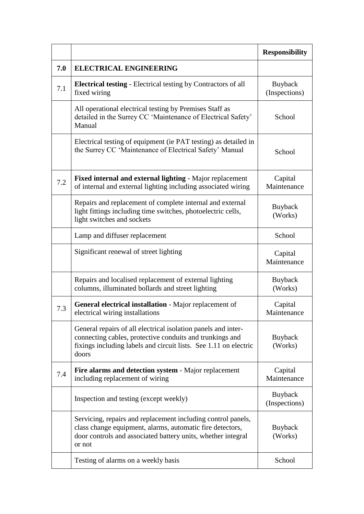|     |                                                                                                                                                                                                        | <b>Responsibility</b>     |
|-----|--------------------------------------------------------------------------------------------------------------------------------------------------------------------------------------------------------|---------------------------|
| 7.0 | <b>ELECTRICAL ENGINEERING</b>                                                                                                                                                                          |                           |
| 7.1 | <b>Electrical testing - Electrical testing by Contractors of all</b><br>fixed wiring                                                                                                                   | Buyback<br>(Inspections)  |
|     | All operational electrical testing by Premises Staff as<br>detailed in the Surrey CC 'Maintenance of Electrical Safety'<br>Manual                                                                      | School                    |
|     | Electrical testing of equipment (ie PAT testing) as detailed in<br>the Surrey CC 'Maintenance of Electrical Safety' Manual                                                                             | School                    |
| 7.2 | Fixed internal and external lighting - Major replacement<br>of internal and external lighting including associated wiring                                                                              | Capital<br>Maintenance    |
|     | Repairs and replacement of complete internal and external<br>light fittings including time switches, photoelectric cells,<br>light switches and sockets                                                | Buyback<br>(Works)        |
|     | Lamp and diffuser replacement                                                                                                                                                                          | School                    |
|     | Significant renewal of street lighting                                                                                                                                                                 | Capital<br>Maintenance    |
|     | Repairs and localised replacement of external lighting<br>columns, illuminated bollards and street lighting                                                                                            | <b>Buyback</b><br>(Works) |
| 7.3 | General electrical installation - Major replacement of<br>electrical wiring installations                                                                                                              | Capital<br>Maintenance    |
|     | General repairs of all electrical isolation panels and inter-<br>connecting cables, protective conduits and trunkings and<br>fixings including labels and circuit lists. See 1.11 on electric<br>doors | Buyback<br>(Works)        |
| 7.4 | Fire alarms and detection system - Major replacement<br>including replacement of wiring                                                                                                                | Capital<br>Maintenance    |
|     | Inspection and testing (except weekly)                                                                                                                                                                 | Buyback<br>(Inspections)  |
|     | Servicing, repairs and replacement including control panels,<br>class change equipment, alarms, automatic fire detectors,<br>door controls and associated battery units, whether integral<br>or not    | <b>Buyback</b><br>(Works) |
|     | Testing of alarms on a weekly basis                                                                                                                                                                    | School                    |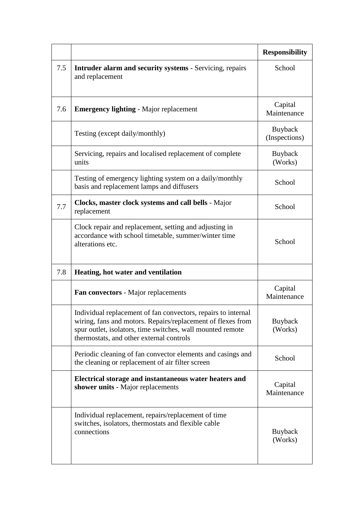|     |                                                                                                                                                                                                                                        | <b>Responsibility</b>           |
|-----|----------------------------------------------------------------------------------------------------------------------------------------------------------------------------------------------------------------------------------------|---------------------------------|
| 7.5 | <b>Intruder alarm and security systems</b> - Servicing, repairs<br>and replacement                                                                                                                                                     | School                          |
| 7.6 | <b>Emergency lighting - Major replacement</b>                                                                                                                                                                                          | Capital<br>Maintenance          |
|     | Testing (except daily/monthly)                                                                                                                                                                                                         | <b>Buyback</b><br>(Inspections) |
|     | Servicing, repairs and localised replacement of complete<br>units                                                                                                                                                                      | Buyback<br>(Works)              |
|     | Testing of emergency lighting system on a daily/monthly<br>basis and replacement lamps and diffusers                                                                                                                                   | School                          |
| 7.7 | Clocks, master clock systems and call bells - Major<br>replacement                                                                                                                                                                     | School                          |
|     | Clock repair and replacement, setting and adjusting in<br>accordance with school timetable, summer/winter time<br>alterations etc.                                                                                                     | School                          |
| 7.8 | Heating, hot water and ventilation                                                                                                                                                                                                     |                                 |
|     | Fan convectors - Major replacements                                                                                                                                                                                                    | Capital<br>Maintenance          |
|     | Individual replacement of fan convectors, repairs to internal<br>wiring, fans and motors. Repairs/replacement of flexes from<br>spur outlet, isolators, time switches, wall mounted remote<br>thermostats, and other external controls | Buyback<br>(Works)              |
|     | Periodic cleaning of fan convector elements and casings and<br>the cleaning or replacement of air filter screen                                                                                                                        | School                          |
|     | Electrical storage and instantaneous water heaters and<br>shower units - Major replacements                                                                                                                                            | Capital<br>Maintenance          |
|     | Individual replacement, repairs/replacement of time<br>switches, isolators, thermostats and flexible cable<br>connections                                                                                                              | <b>Buyback</b><br>(Works)       |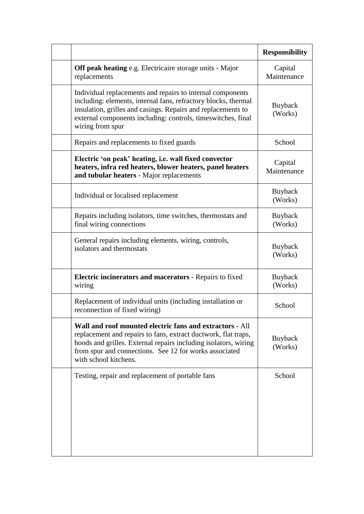|                                                                                                                                                                                                                                                                                  | <b>Responsibility</b>     |
|----------------------------------------------------------------------------------------------------------------------------------------------------------------------------------------------------------------------------------------------------------------------------------|---------------------------|
| <b>Off peak heating e.g. Electricaire storage units - Major</b><br>replacements                                                                                                                                                                                                  | Capital<br>Maintenance    |
| Individual replacements and repairs to internal components<br>including: elements, internal fans, refractory blocks, thermal<br>insulation, grilles and casings. Repairs and replacements to<br>external components including: controls, timeswitches, final<br>wiring from spur | <b>Buyback</b><br>(Works) |
| Repairs and replacements to fixed guards                                                                                                                                                                                                                                         | School                    |
| Electric 'on peak' heating, i.e. wall fixed convector<br>heaters, infra red heaters, blower heaters, panel heaters<br>and tubular heaters - Major replacements                                                                                                                   | Capital<br>Maintenance    |
| Individual or localised replacement                                                                                                                                                                                                                                              | <b>Buyback</b><br>(Works) |
| Repairs including isolators, time switches, thermostats and<br>final wiring connections                                                                                                                                                                                          | <b>Buyback</b><br>(Works) |
| General repairs including elements, wiring, controls,<br>isolators and thermostats                                                                                                                                                                                               | <b>Buyback</b><br>(Works) |
| Electric incinerators and macerators - Repairs to fixed<br>wiring                                                                                                                                                                                                                | Buyback<br>(Works)        |
| Replacement of individual units (including installation or<br>reconnection of fixed wiring)                                                                                                                                                                                      | School                    |
| Wall and roof mounted electric fans and extractors - All<br>replacement and repairs to fans, extract ductwork, flat traps,<br>hoods and grilles. External repairs including isolators, wiring<br>from spur and connections. See 12 for works associated<br>with school kitchens. | Buyback<br>(Works)        |
| Testing, repair and replacement of portable fans                                                                                                                                                                                                                                 | School                    |
|                                                                                                                                                                                                                                                                                  |                           |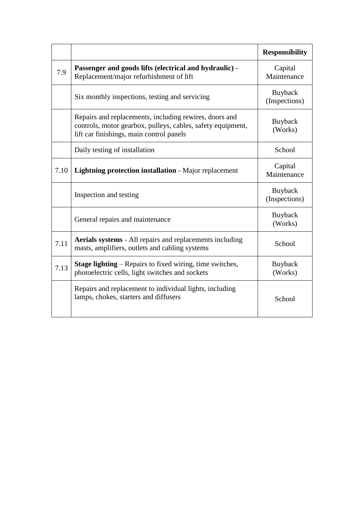|      |                                                                                                                                                                   | <b>Responsibility</b>    |
|------|-------------------------------------------------------------------------------------------------------------------------------------------------------------------|--------------------------|
| 7.9  | Passenger and goods lifts (electrical and hydraulic) -<br>Replacement/major refurbishment of lift                                                                 | Capital<br>Maintenance   |
|      | Six monthly inspections, testing and servicing                                                                                                                    | Buyback<br>(Inspections) |
|      | Repairs and replacements, including rewires, doors and<br>controls, motor gearbox, pulleys, cables, safety equipment,<br>lift car finishings, main control panels | Buyback<br>(Works)       |
|      | Daily testing of installation                                                                                                                                     | School                   |
| 7.10 | <b>Lightning protection installation - Major replacement</b>                                                                                                      | Capital<br>Maintenance   |
|      | Inspection and testing                                                                                                                                            | Buyback<br>(Inspections) |
|      | General repairs and maintenance                                                                                                                                   | Buyback<br>(Works)       |
| 7.11 | <b>Aerials systems</b> - All repairs and replacements including<br>masts, amplifiers, outlets and cabling systems                                                 | School                   |
| 7.13 | <b>Stage lighting</b> – Repairs to fixed wiring, time switches,<br>photoelectric cells, light switches and sockets                                                | Buyback<br>(Works)       |
|      | Repairs and replacement to individual lights, including<br>lamps, chokes, starters and diffusers                                                                  | School                   |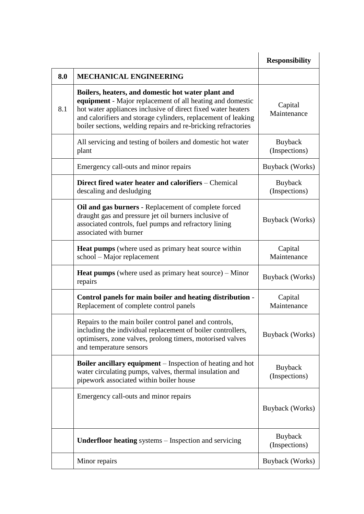|     |                                                                                                                                                                                                                                                                                                                   | <b>Responsibility</b>    |
|-----|-------------------------------------------------------------------------------------------------------------------------------------------------------------------------------------------------------------------------------------------------------------------------------------------------------------------|--------------------------|
| 8.0 | <b>MECHANICAL ENGINEERING</b>                                                                                                                                                                                                                                                                                     |                          |
| 8.1 | Boilers, heaters, and domestic hot water plant and<br>equipment - Major replacement of all heating and domestic<br>hot water appliances inclusive of direct fixed water heaters<br>and calorifiers and storage cylinders, replacement of leaking<br>boiler sections, welding repairs and re-bricking refractories | Capital<br>Maintenance   |
|     | All servicing and testing of boilers and domestic hot water<br>plant                                                                                                                                                                                                                                              | Buyback<br>(Inspections) |
|     | Emergency call-outs and minor repairs                                                                                                                                                                                                                                                                             | Buyback (Works)          |
|     | Direct fired water heater and calorifiers – Chemical<br>descaling and desludging                                                                                                                                                                                                                                  | Buyback<br>(Inspections) |
|     | Oil and gas burners - Replacement of complete forced<br>draught gas and pressure jet oil burners inclusive of<br>associated controls, fuel pumps and refractory lining<br>associated with burner                                                                                                                  | Buyback (Works)          |
|     | <b>Heat pumps</b> (where used as primary heat source within<br>school – Major replacement                                                                                                                                                                                                                         | Capital<br>Maintenance   |
|     | <b>Heat pumps</b> (where used as primary heat source) $-$ Minor<br>repairs                                                                                                                                                                                                                                        | Buyback (Works)          |
|     | Control panels for main boiler and heating distribution -<br>Replacement of complete control panels                                                                                                                                                                                                               | Capital<br>Maintenance   |
|     | Repairs to the main boiler control panel and controls,<br>including the individual replacement of boiler controllers,<br>optimisers, zone valves, prolong timers, motorised valves<br>and temperature sensors                                                                                                     | Buyback (Works)          |
|     | <b>Boiler ancillary equipment</b> – Inspection of heating and hot<br>water circulating pumps, valves, thermal insulation and<br>pipework associated within boiler house                                                                                                                                           | Buyback<br>(Inspections) |
|     | Emergency call-outs and minor repairs                                                                                                                                                                                                                                                                             | Buyback (Works)          |
|     | Underfloor heating systems - Inspection and servicing                                                                                                                                                                                                                                                             | Buyback<br>(Inspections) |
|     | Minor repairs                                                                                                                                                                                                                                                                                                     | Buyback (Works)          |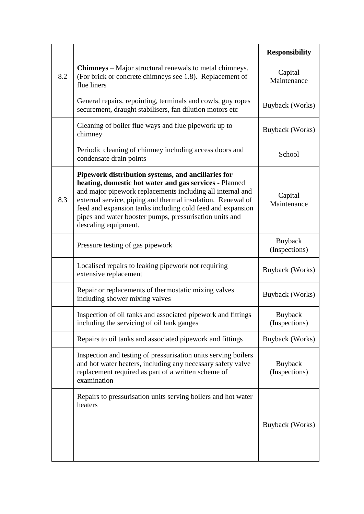|     |                                                                                                                                                                                                                                                                                                                                                                                            | <b>Responsibility</b>    |
|-----|--------------------------------------------------------------------------------------------------------------------------------------------------------------------------------------------------------------------------------------------------------------------------------------------------------------------------------------------------------------------------------------------|--------------------------|
| 8.2 | <b>Chimneys</b> – Major structural renewals to metal chimneys.<br>(For brick or concrete chimneys see 1.8). Replacement of<br>flue liners                                                                                                                                                                                                                                                  | Capital<br>Maintenance   |
|     | General repairs, repointing, terminals and cowls, guy ropes<br>securement, draught stabilisers, fan dilution motors etc                                                                                                                                                                                                                                                                    | Buyback (Works)          |
|     | Cleaning of boiler flue ways and flue pipework up to<br>chimney                                                                                                                                                                                                                                                                                                                            | Buyback (Works)          |
|     | Periodic cleaning of chimney including access doors and<br>condensate drain points                                                                                                                                                                                                                                                                                                         | School                   |
| 8.3 | Pipework distribution systems, and ancillaries for<br>heating, domestic hot water and gas services - Planned<br>and major pipework replacements including all internal and<br>external service, piping and thermal insulation. Renewal of<br>feed and expansion tanks including cold feed and expansion<br>pipes and water booster pumps, pressurisation units and<br>descaling equipment. | Capital<br>Maintenance   |
|     | Pressure testing of gas pipework                                                                                                                                                                                                                                                                                                                                                           | Buyback<br>(Inspections) |
|     | Localised repairs to leaking pipework not requiring<br>extensive replacement                                                                                                                                                                                                                                                                                                               | Buyback (Works)          |
|     | Repair or replacements of thermostatic mixing valves<br>including shower mixing valves                                                                                                                                                                                                                                                                                                     | Buyback (Works)          |
|     | Inspection of oil tanks and associated pipework and fittings<br>including the servicing of oil tank gauges                                                                                                                                                                                                                                                                                 | Buyback<br>(Inspections) |
|     | Repairs to oil tanks and associated pipework and fittings                                                                                                                                                                                                                                                                                                                                  | Buyback (Works)          |
|     | Inspection and testing of pressurisation units serving boilers<br>and hot water heaters, including any necessary safety valve<br>replacement required as part of a written scheme of<br>examination                                                                                                                                                                                        | Buyback<br>(Inspections) |
|     | Repairs to pressurisation units serving boilers and hot water<br>heaters                                                                                                                                                                                                                                                                                                                   | Buyback (Works)          |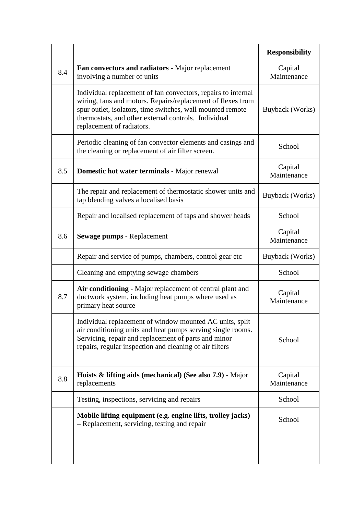|     |                                                                                                                                                                                                                                                                                 | <b>Responsibility</b>  |
|-----|---------------------------------------------------------------------------------------------------------------------------------------------------------------------------------------------------------------------------------------------------------------------------------|------------------------|
| 8.4 | Fan convectors and radiators - Major replacement<br>involving a number of units                                                                                                                                                                                                 | Capital<br>Maintenance |
|     | Individual replacement of fan convectors, repairs to internal<br>wiring, fans and motors. Repairs/replacement of flexes from<br>spur outlet, isolators, time switches, wall mounted remote<br>thermostats, and other external controls. Individual<br>replacement of radiators. | Buyback (Works)        |
|     | Periodic cleaning of fan convector elements and casings and<br>the cleaning or replacement of air filter screen.                                                                                                                                                                | School                 |
| 8.5 | Domestic hot water terminals - Major renewal                                                                                                                                                                                                                                    | Capital<br>Maintenance |
|     | The repair and replacement of thermostatic shower units and<br>tap blending valves a localised basis                                                                                                                                                                            | Buyback (Works)        |
|     | Repair and localised replacement of taps and shower heads                                                                                                                                                                                                                       | School                 |
| 8.6 | Sewage pumps - Replacement                                                                                                                                                                                                                                                      | Capital<br>Maintenance |
|     | Repair and service of pumps, chambers, control gear etc.                                                                                                                                                                                                                        | Buyback (Works)        |
|     | Cleaning and emptying sewage chambers                                                                                                                                                                                                                                           | School                 |
| 8.7 | Air conditioning - Major replacement of central plant and<br>ductwork system, including heat pumps where used as<br>primary heat source                                                                                                                                         | Capital<br>Maintenance |
|     | Individual replacement of window mounted AC units, split<br>air conditioning units and heat pumps serving single rooms.<br>Servicing, repair and replacement of parts and minor<br>repairs, regular inspection and cleaning of air filters                                      | School                 |
| 8.8 | <b>Hoists &amp; lifting aids (mechanical) (See also 7.9)</b> - Major<br>replacements                                                                                                                                                                                            | Capital<br>Maintenance |
|     | Testing, inspections, servicing and repairs                                                                                                                                                                                                                                     | School                 |
|     | Mobile lifting equipment (e.g. engine lifts, trolley jacks)<br>- Replacement, servicing, testing and repair                                                                                                                                                                     | School                 |
|     |                                                                                                                                                                                                                                                                                 |                        |
|     |                                                                                                                                                                                                                                                                                 |                        |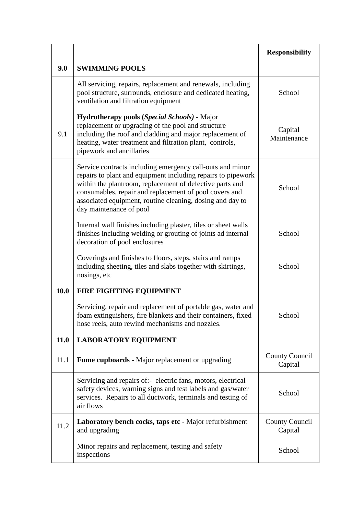|      |                                                                                                                                                                                                                                                                                                                                         | <b>Responsibility</b>            |
|------|-----------------------------------------------------------------------------------------------------------------------------------------------------------------------------------------------------------------------------------------------------------------------------------------------------------------------------------------|----------------------------------|
| 9.0  | <b>SWIMMING POOLS</b>                                                                                                                                                                                                                                                                                                                   |                                  |
|      | All servicing, repairs, replacement and renewals, including<br>pool structure, surrounds, enclosure and dedicated heating,<br>ventilation and filtration equipment                                                                                                                                                                      | School                           |
| 9.1  | Hydrotherapy pools (Special Schools) - Major<br>replacement or upgrading of the pool and structure<br>including the roof and cladding and major replacement of<br>heating, water treatment and filtration plant, controls,<br>pipework and ancillaries                                                                                  | Capital<br>Maintenance           |
|      | Service contracts including emergency call-outs and minor<br>repairs to plant and equipment including repairs to pipework<br>within the plantroom, replacement of defective parts and<br>consumables, repair and replacement of pool covers and<br>associated equipment, routine cleaning, dosing and day to<br>day maintenance of pool | School                           |
|      | Internal wall finishes including plaster, tiles or sheet walls<br>finishes including welding or grouting of joints ad internal<br>decoration of pool enclosures                                                                                                                                                                         | School                           |
|      | Coverings and finishes to floors, steps, stairs and ramps<br>including sheeting, tiles and slabs together with skirtings,<br>nosings, etc                                                                                                                                                                                               | School                           |
| 10.0 | <b>FIRE FIGHTING EQUIPMENT</b>                                                                                                                                                                                                                                                                                                          |                                  |
|      | Servicing, repair and replacement of portable gas, water and<br>foam extinguishers, fire blankets and their containers, fixed<br>hose reels, auto rewind mechanisms and nozzles.                                                                                                                                                        | School                           |
| 11.0 | <b>LABORATORY EQUIPMENT</b>                                                                                                                                                                                                                                                                                                             |                                  |
| 11.1 | <b>Fume cupboards</b> - Major replacement or upgrading                                                                                                                                                                                                                                                                                  | <b>County Council</b><br>Capital |
|      | Servicing and repairs of:- electric fans, motors, electrical<br>safety devices, warning signs and test labels and gas/water<br>services. Repairs to all ductwork, terminals and testing of<br>air flows                                                                                                                                 | School                           |
| 11.2 | Laboratory bench cocks, taps etc - Major refurbishment<br>and upgrading                                                                                                                                                                                                                                                                 | <b>County Council</b><br>Capital |
|      | Minor repairs and replacement, testing and safety<br>inspections                                                                                                                                                                                                                                                                        | School                           |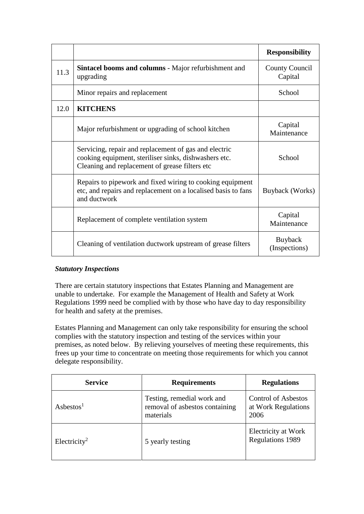|      |                                                                                                                                                                  | <b>Responsibility</b>            |
|------|------------------------------------------------------------------------------------------------------------------------------------------------------------------|----------------------------------|
| 11.3 | Sintacel booms and columns - Major refurbishment and<br>upgrading                                                                                                | <b>County Council</b><br>Capital |
|      | Minor repairs and replacement                                                                                                                                    | School                           |
| 12.0 | <b>KITCHENS</b>                                                                                                                                                  |                                  |
|      | Major refurbishment or upgrading of school kitchen                                                                                                               | Capital<br>Maintenance           |
|      | Servicing, repair and replacement of gas and electric<br>cooking equipment, steriliser sinks, dishwashers etc.<br>Cleaning and replacement of grease filters etc | School                           |
|      | Repairs to pipework and fixed wiring to cooking equipment<br>etc, and repairs and replacement on a localised basis to fans<br>and ductwork                       | Buyback (Works)                  |
|      | Replacement of complete ventilation system                                                                                                                       | Capital<br>Maintenance           |
|      | Cleaning of ventilation ductwork upstream of grease filters                                                                                                      | Buyback<br>(Inspections)         |

## *Statutory Inspections*

There are certain statutory inspections that Estates Planning and Management are unable to undertake. For example the Management of Health and Safety at Work Regulations 1999 need be complied with by those who have day to day responsibility for health and safety at the premises.

Estates Planning and Management can only take responsibility for ensuring the school complies with the statutory inspection and testing of the services within your premises, as noted below. By relieving yourselves of meeting these requirements, this frees up your time to concentrate on meeting those requirements for which you cannot delegate responsibility.

| <b>Service</b>           | <b>Requirements</b>                                                       | <b>Regulations</b>                                        |
|--------------------------|---------------------------------------------------------------------------|-----------------------------------------------------------|
| Asbestos <sup>1</sup>    | Testing, remedial work and<br>removal of asbestos containing<br>materials | <b>Control of Asbestos</b><br>at Work Regulations<br>2006 |
| Electricity <sup>2</sup> | 5 yearly testing                                                          | Electricity at Work<br><b>Regulations 1989</b>            |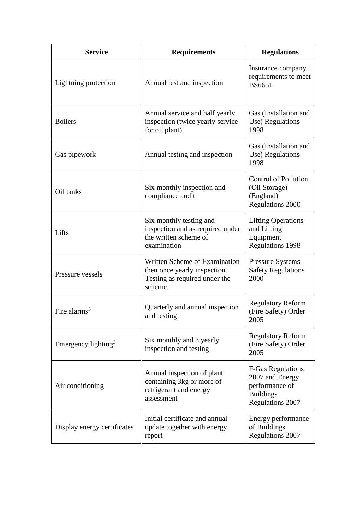| <b>Service</b>                  | <b>Requirements</b>                                                                                       | <b>Regulations</b>                                                                                           |
|---------------------------------|-----------------------------------------------------------------------------------------------------------|--------------------------------------------------------------------------------------------------------------|
| Lightning protection            | Annual test and inspection                                                                                | Insurance company<br>requirements to meet<br><b>BS6651</b>                                                   |
| <b>Boilers</b>                  | Annual service and half yearly<br>inspection (twice yearly service<br>for oil plant)                      | Gas (Installation and<br>Use) Regulations<br>1998                                                            |
| Gas pipework                    | Annual testing and inspection                                                                             | Gas (Installation and<br>Use) Regulations<br>1998                                                            |
| Oil tanks                       | Six monthly inspection and<br>compliance audit                                                            | <b>Control of Pollution</b><br>(Oil Storage)<br>(England)<br><b>Regulations 2000</b>                         |
| Lifts                           | Six monthly testing and<br>inspection and as required under<br>the written scheme of<br>examination       | <b>Lifting Operations</b><br>and Lifting<br>Equipment<br><b>Regulations 1998</b>                             |
| Pressure vessels                | Written Scheme of Examination<br>then once yearly inspection.<br>Testing as required under the<br>scheme. | <b>Pressure Systems</b><br><b>Safety Regulations</b><br>2000                                                 |
| Fire alarms $3$                 | Quarterly and annual inspection<br>and testing                                                            | <b>Regulatory Reform</b><br>(Fire Safety) Order<br>2005                                                      |
| Emergency lighting <sup>3</sup> | Six monthly and 3 yearly<br>inspection and testing                                                        | <b>Regulatory Reform</b><br>(Fire Safety) Order<br>2005                                                      |
| Air conditioning                | Annual inspection of plant<br>containing 3kg or more of<br>refrigerant and energy<br>assessment           | <b>F-Gas Regulations</b><br>2007 and Energy<br>performance of<br><b>Buildings</b><br><b>Regulations 2007</b> |
| Display energy certificates     | Initial certificate and annual<br>update together with energy<br>report                                   | Energy performance<br>of Buildings<br>Regulations 2007                                                       |